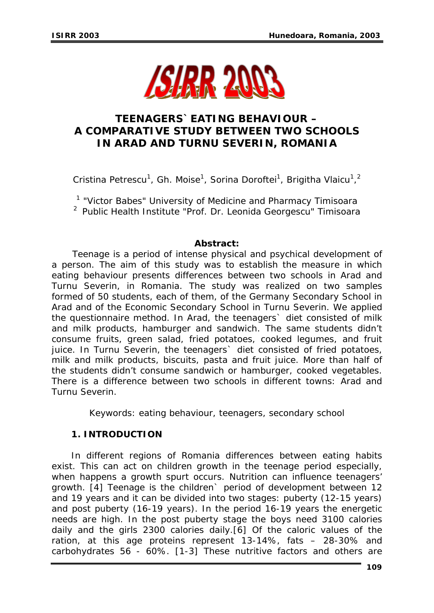

# **TEENAGERS`EATING BEHAVIOUR – A COMPARATIVE STUDY BETWEEN TWO SCHOOLS IN ARAD AND TURNU SEVERIN, ROMANIA**

Cristina Petrescu<sup>1</sup>, Gh. Moise<sup>1</sup>, Sorina Doroftei<sup>1</sup>, Brigitha Vlaicu<sup>1</sup>,<sup>2</sup>

<sup>1</sup> "Victor Babes" University of Medicine and Pharmacy Timisoara 2 Public Health Institute "Prof. Dr. Leonida Georgescu" Timisoara

# **Abstract:**

*Teenage is a period of intense physical and psychical development of a person. The aim of this study was to establish the measure in which eating behaviour presents differences between two schools in Arad and Turnu Severin, in Romania. The study was realized on two samples formed of 50 students, each of them, of the Germany Secondary School in Arad and of the Economic Secondary School in Turnu Severin. We applied the questionnaire method. In Arad, the teenagers` diet consisted of milk and milk products, hamburger and sandwich. The same students didn't consume fruits, green salad, fried potatoes, cooked legumes, and fruit juice. In Turnu Severin, the teenagers` diet consisted of fried potatoes, milk and milk products, biscuits, pasta and fruit juice. More than half of the students didn't consume sandwich or hamburger, cooked vegetables. There is a difference between two schools in different towns: Arad and Turnu Severin.* 

Keywords: eating behaviour, teenagers, secondary school

# **1. INTRODUCTION**

In different regions of Romania differences between eating habits exist. This can act on children growth in the teenage period especially, when happens a growth spurt occurs. Nutrition can influence teenagers' growth. [4] Teenage is the children` period of development between 12 and 19 years and it can be divided into two stages: puberty (12-15 years) and post puberty (16-19 years). In the period 16-19 years the energetic needs are high. In the post puberty stage the boys need 3100 calories daily and the girls 2300 calories daily.[6] Of the caloric values of the ration, at this age proteins represent 13-14%, fats – 28-30% and carbohydrates 56 - 60%. [1-3] These nutritive factors and others are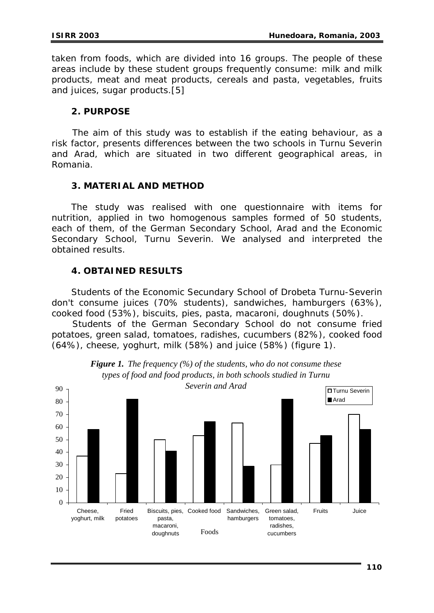taken from foods, which are divided into 16 groups. The people of these areas include by these student groups frequently consume: milk and milk products, meat and meat products, cereals and pasta, vegetables, fruits and juices, sugar products.[5]

### **2. PURPOSE**

 The aim of this study was to establish if the eating behaviour, as a risk factor, presents differences between the two schools in Turnu Severin and Arad, which are situated in two different geographical areas, in Romania.

#### **3. MATERIAL AND METHOD**

The study was realised with one questionnaire with items for nutrition, applied in two homogenous samples formed of 50 students, each of them, of the German Secondary School, Arad and the Economic Secondary School, Turnu Severin. We analysed and interpreted the obtained results.

# **4. OBTAINED RESULTS**

Students of the Economic Secundary School of Drobeta Turnu-Severin don't consume juices (70% students), sandwiches, hamburgers (63%), cooked food (53%), biscuits, pies, pasta, macaroni, doughnuts (50%).

Students of the German Secondary School do not consume fried potatoes, green salad, tomatoes, radishes, cucumbers (82%), cooked food (64%), cheese, yoghurt, milk (58%) and juice (58%) (figure 1).



*Figure 1. The frequency (%) of the students, who do not consume these types of food and food products, in both schools studied in Turnu*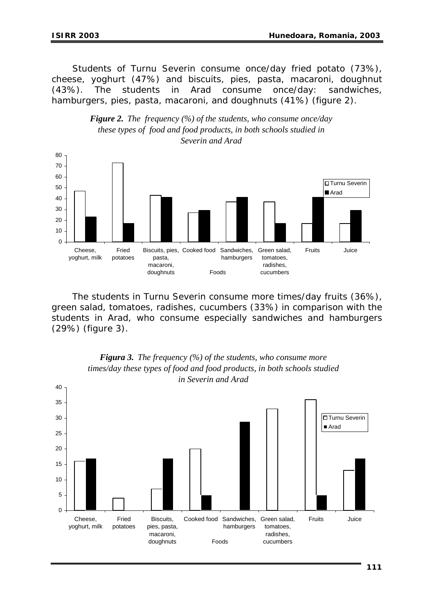Students of Turnu Severin consume once/day fried potato (73%), cheese, yoghurt (47%) and biscuits, pies, pasta, macaroni, doughnut (43%). The students in Arad consume once/day: sandwiches, hamburgers, pies, pasta, macaroni, and doughnuts (41%) (figure 2).



*Figure 2. The frequency (%) of the students, who consume once/day these types of food and food products, in both schools studied in Severin and Arad*

The students in Turnu Severin consume more times/day fruits (36%), green salad, tomatoes, radishes, cucumbers (33%) in comparison with the students in Arad, who consume especially sandwiches and hamburgers (29%) (figure 3).



# *Figura 3. The frequency (%) of the students, who consume more times/day these types of food and food products, in both schools studied*